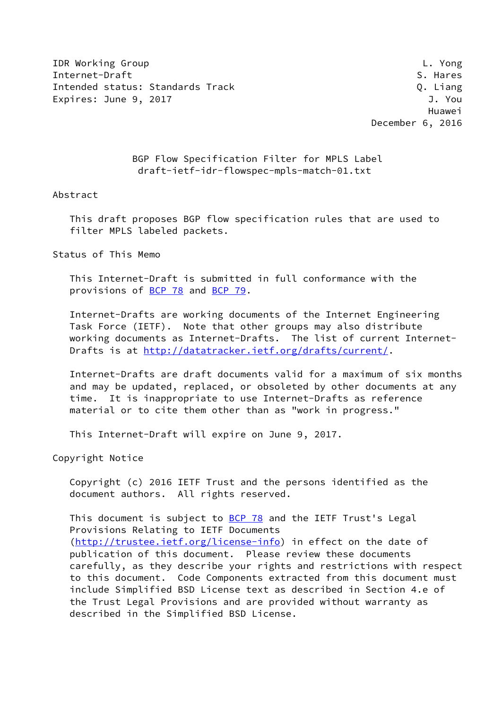IDR Working Group L. Yong Internet-Draft S. Hares S. Hares S. Hares S. Hares S. Hares S. Hares S. Hares S. Hares Intended status: Standards Track Q. Liang Expires: June 9, 2017 **J. Your State Act 2018** 

 Huawei December 6, 2016

> BGP Flow Specification Filter for MPLS Label draft-ietf-idr-flowspec-mpls-match-01.txt

## Abstract

 This draft proposes BGP flow specification rules that are used to filter MPLS labeled packets.

Status of This Memo

 This Internet-Draft is submitted in full conformance with the provisions of [BCP 78](https://datatracker.ietf.org/doc/pdf/bcp78) and [BCP 79](https://datatracker.ietf.org/doc/pdf/bcp79).

 Internet-Drafts are working documents of the Internet Engineering Task Force (IETF). Note that other groups may also distribute working documents as Internet-Drafts. The list of current Internet Drafts is at<http://datatracker.ietf.org/drafts/current/>.

 Internet-Drafts are draft documents valid for a maximum of six months and may be updated, replaced, or obsoleted by other documents at any time. It is inappropriate to use Internet-Drafts as reference material or to cite them other than as "work in progress."

This Internet-Draft will expire on June 9, 2017.

Copyright Notice

 Copyright (c) 2016 IETF Trust and the persons identified as the document authors. All rights reserved.

This document is subject to **[BCP 78](https://datatracker.ietf.org/doc/pdf/bcp78)** and the IETF Trust's Legal Provisions Relating to IETF Documents [\(http://trustee.ietf.org/license-info](http://trustee.ietf.org/license-info)) in effect on the date of publication of this document. Please review these documents carefully, as they describe your rights and restrictions with respect to this document. Code Components extracted from this document must include Simplified BSD License text as described in Section 4.e of the Trust Legal Provisions and are provided without warranty as described in the Simplified BSD License.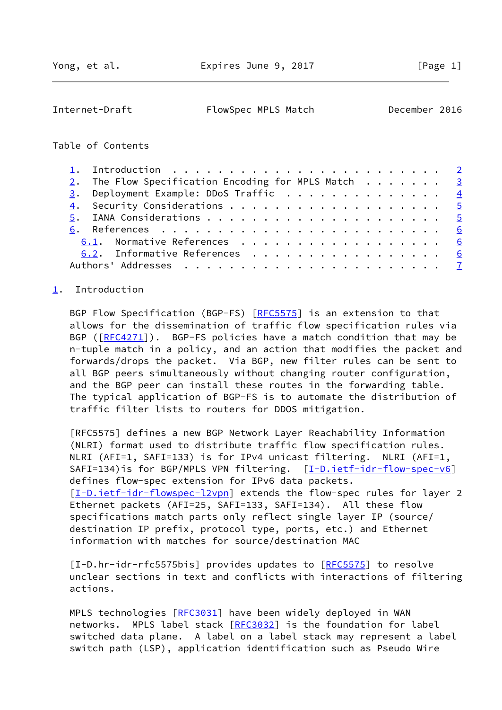<span id="page-1-1"></span>Internet-Draft FlowSpec MPLS Match December 2016

## Table of Contents

|  | 1. Introduction $\ldots \ldots \ldots \ldots \ldots \ldots \ldots \ldots \ldots$ |  |
|--|----------------------------------------------------------------------------------|--|
|  | 2. The Flow Specification Encoding for MPLS Match $\ldots \ldots$                |  |
|  | 3. Deployment Example: DDoS Traffic 4                                            |  |
|  |                                                                                  |  |
|  |                                                                                  |  |
|  |                                                                                  |  |
|  | 6.1. Normative References 6                                                      |  |
|  | 6.2. Informative References 6                                                    |  |
|  |                                                                                  |  |

## <span id="page-1-0"></span>[1](#page-1-0). Introduction

BGP Flow Specification (BGP-FS) [\[RFC5575](https://datatracker.ietf.org/doc/pdf/rfc5575)] is an extension to that allows for the dissemination of traffic flow specification rules via BGP ( $[REC4271]$ ). BGP-FS policies have a match condition that may be n-tuple match in a policy, and an action that modifies the packet and forwards/drops the packet. Via BGP, new filter rules can be sent to all BGP peers simultaneously without changing router configuration, and the BGP peer can install these routes in the forwarding table. The typical application of BGP-FS is to automate the distribution of traffic filter lists to routers for DDOS mitigation.

 [RFC5575] defines a new BGP Network Layer Reachability Information (NLRI) format used to distribute traffic flow specification rules. NLRI (AFI=1, SAFI=133) is for IPv4 unicast filtering. NLRI (AFI=1, SAFI=134) is for BGP/MPLS VPN filtering. [\[I-D.ietf-idr-flow-spec-v6\]](#page-7-0) defines flow-spec extension for IPv6 data packets. [\[I-D.ietf-idr-flowspec-l2vpn](#page-7-1)] extends the flow-spec rules for layer 2 Ethernet packets (AFI=25, SAFI=133, SAFI=134). All these flow specifications match parts only reflect single layer IP (source/ destination IP prefix, protocol type, ports, etc.) and Ethernet information with matches for source/destination MAC

<span id="page-1-2"></span>[I-D.hr-idr-rfc5575bis] provides updates to [\[RFC5575](https://datatracker.ietf.org/doc/pdf/rfc5575)] to resolve unclear sections in text and conflicts with interactions of filtering actions.

MPLS technologies [[RFC3031](https://datatracker.ietf.org/doc/pdf/rfc3031)] have been widely deployed in WAN networks. MPLS label stack [\[RFC3032](https://datatracker.ietf.org/doc/pdf/rfc3032)] is the foundation for label switched data plane. A label on a label stack may represent a label switch path (LSP), application identification such as Pseudo Wire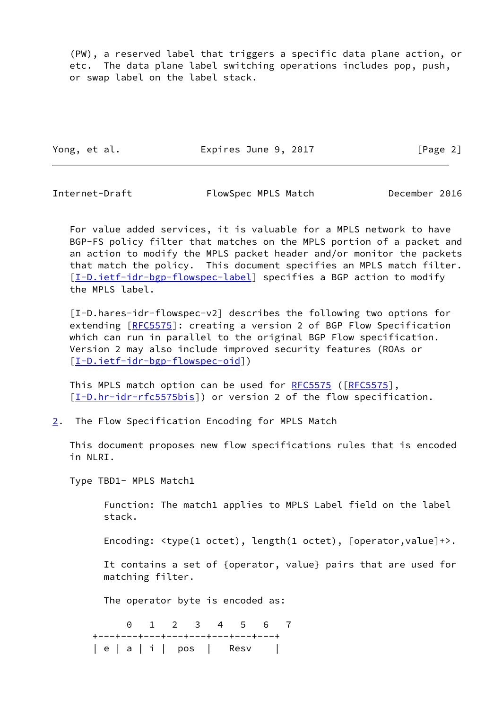(PW), a reserved label that triggers a specific data plane action, or etc. The data plane label switching operations includes pop, push, or swap label on the label stack.

Yong, et al. **Expires June 9, 2017** [Page 2]

<span id="page-2-1"></span>

Internet-Draft FlowSpec MPLS Match December 2016

 For value added services, it is valuable for a MPLS network to have BGP-FS policy filter that matches on the MPLS portion of a packet and an action to modify the MPLS packet header and/or monitor the packets that match the policy. This document specifies an MPLS match filter. [\[I-D.ietf-idr-bgp-flowspec-label](#page-6-2)] specifies a BGP action to modify the MPLS label.

<span id="page-2-2"></span> [I-D.hares-idr-flowspec-v2] describes the following two options for extending [[RFC5575](https://datatracker.ietf.org/doc/pdf/rfc5575)]: creating a version 2 of BGP Flow Specification which can run in parallel to the original BGP Flow specification. Version 2 may also include improved security features (ROAs or [\[I-D.ietf-idr-bgp-flowspec-oid](#page-7-2)])

This MPLS match option can be used for [RFC5575](https://datatracker.ietf.org/doc/pdf/rfc5575) ([\[RFC5575](https://datatracker.ietf.org/doc/pdf/rfc5575)], [\[I-D.hr-idr-rfc5575bis](#page-1-2)]) or version 2 of the flow specification.

<span id="page-2-0"></span>[2](#page-2-0). The Flow Specification Encoding for MPLS Match

 This document proposes new flow specifications rules that is encoded in NLRI.

Type TBD1- MPLS Match1

 Function: The match1 applies to MPLS Label field on the label stack.

Encoding: <type(1 octet), length(1 octet), [operator,value]+>.

 It contains a set of {operator, value} pairs that are used for matching filter.

The operator byte is encoded as:

 0 1 2 3 4 5 6 7 +---+---+---+---+---+---+---+---+ | e | a | i | pos | Resv |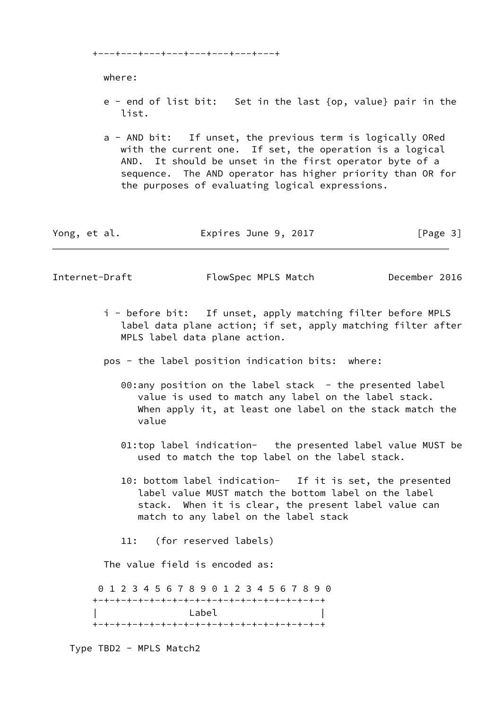+---+---+---+---+---+---+---+---+

where:

- e end of list bit: Set in the last {op, value} pair in the list.
- a AND bit: If unset, the previous term is logically ORed with the current one. If set, the operation is a logical AND. It should be unset in the first operator byte of a sequence. The AND operator has higher priority than OR for the purposes of evaluating logical expressions.

| Yong, et al. | Expires June 9, 2017 | [Page 3] |
|--------------|----------------------|----------|
|--------------|----------------------|----------|

<span id="page-3-0"></span>Internet-Draft FlowSpec MPLS Match December 2016

- i before bit: If unset, apply matching filter before MPLS label data plane action; if set, apply matching filter after MPLS label data plane action.
- pos the label position indication bits: where:
	- 00:any position on the label stack the presented label value is used to match any label on the label stack. When apply it, at least one label on the stack match the value
	- 01:top label indication- the presented label value MUST be used to match the top label on the label stack.
	- 10: bottom label indication- If it is set, the presented label value MUST match the bottom label on the label stack. When it is clear, the present label value can match to any label on the label stack
	- 11: (for reserved labels)

The value field is encoded as:

 0 1 2 3 4 5 6 7 8 9 0 1 2 3 4 5 6 7 8 9 0 +-+-+-+-+-+-+-+-+-+-+-+-+-+-+-+-+-+-+-+-+ Label +-+-+-+-+-+-+-+-+-+-+-+-+-+-+-+-+-+-+-+-+

Type TBD2 - MPLS Match2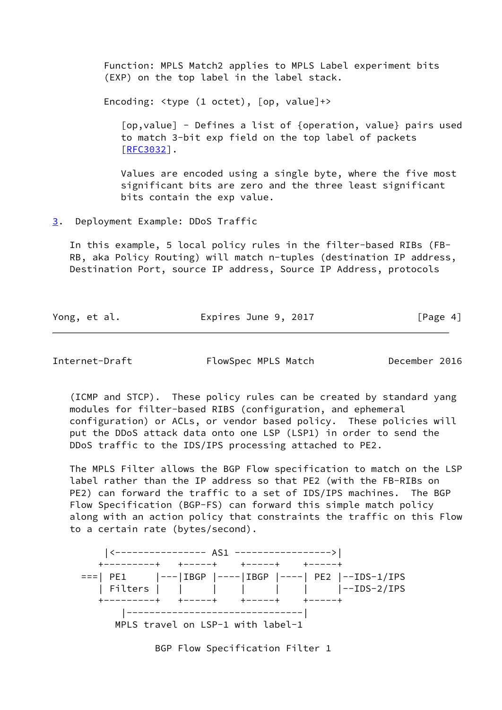Function: MPLS Match2 applies to MPLS Label experiment bits (EXP) on the top label in the label stack.

Encoding: <type (1 octet), [op, value]+>

 [op,value] - Defines a list of {operation, value} pairs used to match 3-bit exp field on the top label of packets [\[RFC3032](https://datatracker.ietf.org/doc/pdf/rfc3032)].

 Values are encoded using a single byte, where the five most significant bits are zero and the three least significant bits contain the exp value.

<span id="page-4-0"></span>[3](#page-4-0). Deployment Example: DDoS Traffic

 In this example, 5 local policy rules in the filter-based RIBs (FB- RB, aka Policy Routing) will match n-tuples (destination IP address, Destination Port, source IP address, Source IP Address, protocols

| Yong, et al. | Expires June 9, 2017 | [Page 4] |
|--------------|----------------------|----------|
|              |                      |          |

<span id="page-4-1"></span>Internet-Draft FlowSpec MPLS Match December 2016

 (ICMP and STCP). These policy rules can be created by standard yang modules for filter-based RIBS (configuration, and ephemeral configuration) or ACLs, or vendor based policy. These policies will put the DDoS attack data onto one LSP (LSP1) in order to send the DDoS traffic to the IDS/IPS processing attached to PE2.

 The MPLS Filter allows the BGP Flow specification to match on the LSP label rather than the IP address so that PE2 (with the FB-RIBs on PE2) can forward the traffic to a set of IDS/IPS machines. The BGP Flow Specification (BGP-FS) can forward this simple match policy along with an action policy that constraints the traffic on this Flow to a certain rate (bytes/second).

 |<---------------- AS1 ----------------->| +---------+ +-----+ +-----+ +-----+ ===| PE1 |---|IBGP |----|IBGP |----| PE2 |--IDS-1/IPS | Filters | | | | | | |--IDS-2/IPS +---------+ +-----+ +-----+ +-----+ |-------------------------------| MPLS travel on LSP-1 with label-1

BGP Flow Specification Filter 1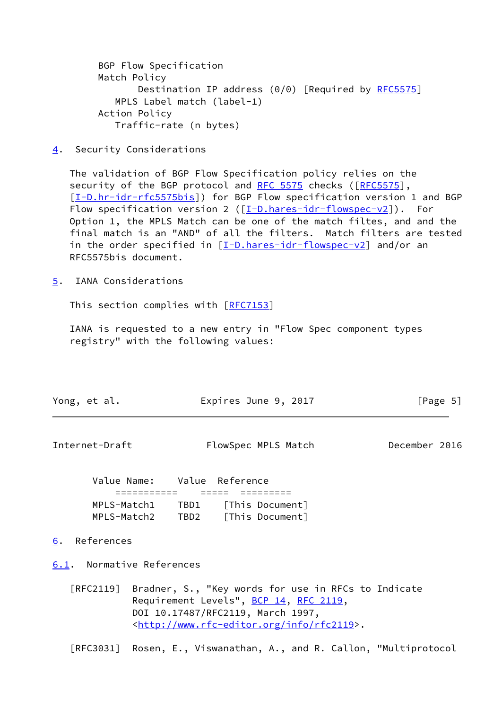BGP Flow Specification Match Policy Destination IP address (0/0) [Required by [RFC5575](https://datatracker.ietf.org/doc/pdf/rfc5575)] MPLS Label match (label-1) Action Policy Traffic-rate (n bytes)

<span id="page-5-0"></span>[4](#page-5-0). Security Considerations

 The validation of BGP Flow Specification policy relies on the security of the BGP protocol and [RFC 5575](https://datatracker.ietf.org/doc/pdf/rfc5575) checks ([[RFC5575](https://datatracker.ietf.org/doc/pdf/rfc5575)], [\[I-D.hr-idr-rfc5575bis](#page-1-2)]) for BGP Flow specification version 1 and BGP Flow specification version 2 ( $[I-D.hares-idr-flowspec-v2]$  $[I-D.hares-idr-flowspec-v2]$ ). For Option 1, the MPLS Match can be one of the match filtes, and and the final match is an "AND" of all the filters. Match filters are tested in the order specified in  $[I-D.hares-idr-flowspec-v2]$  $[I-D.hares-idr-flowspec-v2]$  and/or an RFC5575bis document.

<span id="page-5-1"></span>[5](#page-5-1). IANA Considerations

This section complies with [[RFC7153\]](https://datatracker.ietf.org/doc/pdf/rfc7153)

 IANA is requested to a new entry in "Flow Spec component types registry" with the following values:

|  | Yong, et al. | Expires June 9, 2017 | [Page 5] |
|--|--------------|----------------------|----------|
|--|--------------|----------------------|----------|

<span id="page-5-3"></span>

| Internet-Draft | FlowSpec MPLS Match | December 2016 |  |
|----------------|---------------------|---------------|--|
|                |                     |               |  |

| Value Name: |      | Value Reference |
|-------------|------|-----------------|
|             |      |                 |
| MPLS-Match1 | TBD1 | [This Document] |
| MPLS-Match2 | TBD2 | [This Document] |

## <span id="page-5-2"></span>[6](#page-5-2). References

<span id="page-5-4"></span>[6.1](#page-5-4). Normative References

 [RFC2119] Bradner, S., "Key words for use in RFCs to Indicate Requirement Levels", [BCP 14](https://datatracker.ietf.org/doc/pdf/bcp14), [RFC 2119](https://datatracker.ietf.org/doc/pdf/rfc2119), DOI 10.17487/RFC2119, March 1997, <<http://www.rfc-editor.org/info/rfc2119>>.

[RFC3031] Rosen, E., Viswanathan, A., and R. Callon, "Multiprotocol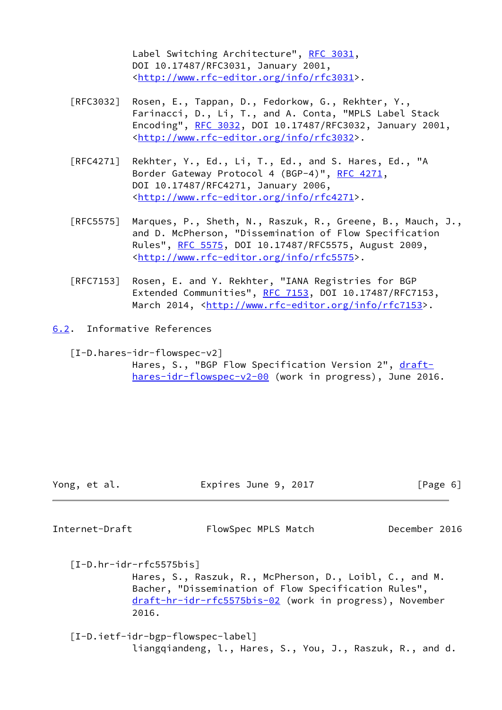Label Switching Architecture", [RFC 3031](https://datatracker.ietf.org/doc/pdf/rfc3031), DOI 10.17487/RFC3031, January 2001, <<http://www.rfc-editor.org/info/rfc3031>>.

- [RFC3032] Rosen, E., Tappan, D., Fedorkow, G., Rekhter, Y., Farinacci, D., Li, T., and A. Conta, "MPLS Label Stack Encoding", [RFC 3032](https://datatracker.ietf.org/doc/pdf/rfc3032), DOI 10.17487/RFC3032, January 2001, <<http://www.rfc-editor.org/info/rfc3032>>.
- [RFC4271] Rekhter, Y., Ed., Li, T., Ed., and S. Hares, Ed., "A Border Gateway Protocol 4 (BGP-4)", [RFC 4271,](https://datatracker.ietf.org/doc/pdf/rfc4271) DOI 10.17487/RFC4271, January 2006, <<http://www.rfc-editor.org/info/rfc4271>>.
- [RFC5575] Marques, P., Sheth, N., Raszuk, R., Greene, B., Mauch, J., and D. McPherson, "Dissemination of Flow Specification Rules", [RFC 5575,](https://datatracker.ietf.org/doc/pdf/rfc5575) DOI 10.17487/RFC5575, August 2009, <<http://www.rfc-editor.org/info/rfc5575>>.
- [RFC7153] Rosen, E. and Y. Rekhter, "IANA Registries for BGP Extended Communities", [RFC 7153](https://datatracker.ietf.org/doc/pdf/rfc7153), DOI 10.17487/RFC7153, March 2014, [<http://www.rfc-editor.org/info/rfc7153](http://www.rfc-editor.org/info/rfc7153)>.
- <span id="page-6-0"></span>[6.2](#page-6-0). Informative References
	- [I-D.hares-idr-flowspec-v2] Hares, S., "BGP Flow Specification Version 2", [draft](https://datatracker.ietf.org/doc/pdf/draft-hares-idr-flowspec-v2-00) [hares-idr-flowspec-v2-00](https://datatracker.ietf.org/doc/pdf/draft-hares-idr-flowspec-v2-00) (work in progress), June 2016.

| Yong, et al. | Expires June 9, 2017 | [Page 6] |
|--------------|----------------------|----------|
|              |                      |          |

<span id="page-6-1"></span>Internet-Draft FlowSpec MPLS Match December 2016

 [I-D.hr-idr-rfc5575bis] Hares, S., Raszuk, R., McPherson, D., Loibl, C., and M. Bacher, "Dissemination of Flow Specification Rules", [draft-hr-idr-rfc5575bis-02](https://datatracker.ietf.org/doc/pdf/draft-hr-idr-rfc5575bis-02) (work in progress), November 2016.

<span id="page-6-2"></span> [I-D.ietf-idr-bgp-flowspec-label] liangqiandeng, l., Hares, S., You, J., Raszuk, R., and d.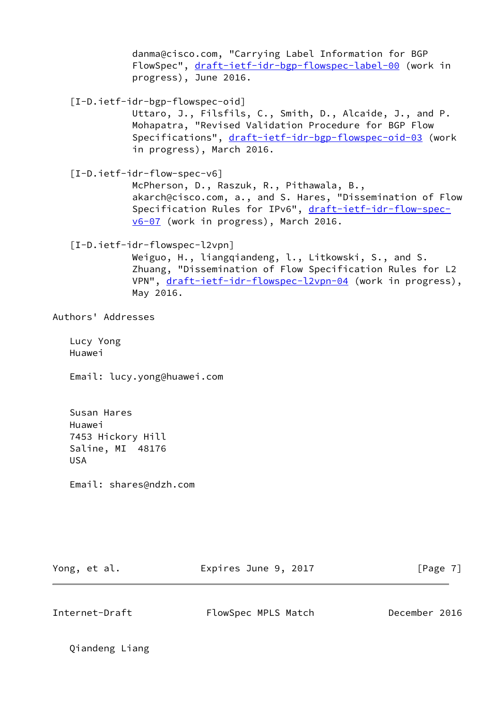danma@cisco.com, "Carrying Label Information for BGP FlowSpec", [draft-ietf-idr-bgp-flowspec-label-00](https://datatracker.ietf.org/doc/pdf/draft-ietf-idr-bgp-flowspec-label-00) (work in progress), June 2016.

<span id="page-7-2"></span>[I-D.ietf-idr-bgp-flowspec-oid]

 Uttaro, J., Filsfils, C., Smith, D., Alcaide, J., and P. Mohapatra, "Revised Validation Procedure for BGP Flow Specifications", [draft-ietf-idr-bgp-flowspec-oid-03](https://datatracker.ietf.org/doc/pdf/draft-ietf-idr-bgp-flowspec-oid-03) (work in progress), March 2016.

<span id="page-7-0"></span>[I-D.ietf-idr-flow-spec-v6]

 McPherson, D., Raszuk, R., Pithawala, B., akarch@cisco.com, a., and S. Hares, "Dissemination of Flow Specification Rules for IPv6", [draft-ietf-idr-flow-spec](https://datatracker.ietf.org/doc/pdf/draft-ietf-idr-flow-spec-v6-07) [v6-07](https://datatracker.ietf.org/doc/pdf/draft-ietf-idr-flow-spec-v6-07) (work in progress), March 2016.

<span id="page-7-1"></span>[I-D.ietf-idr-flowspec-l2vpn]

 Weiguo, H., liangqiandeng, l., Litkowski, S., and S. Zhuang, "Dissemination of Flow Specification Rules for L2 VPN", [draft-ietf-idr-flowspec-l2vpn-04](https://datatracker.ietf.org/doc/pdf/draft-ietf-idr-flowspec-l2vpn-04) (work in progress), May 2016.

Authors' Addresses

 Lucy Yong Huawei

Email: lucy.yong@huawei.com

 Susan Hares Huawei 7453 Hickory Hill Saline, MI 48176 USA

Email: shares@ndzh.com

Yong, et al. **Expires June 9, 2017** [Page 7]

Internet-Draft FlowSpec MPLS Match December 2016

Qiandeng Liang